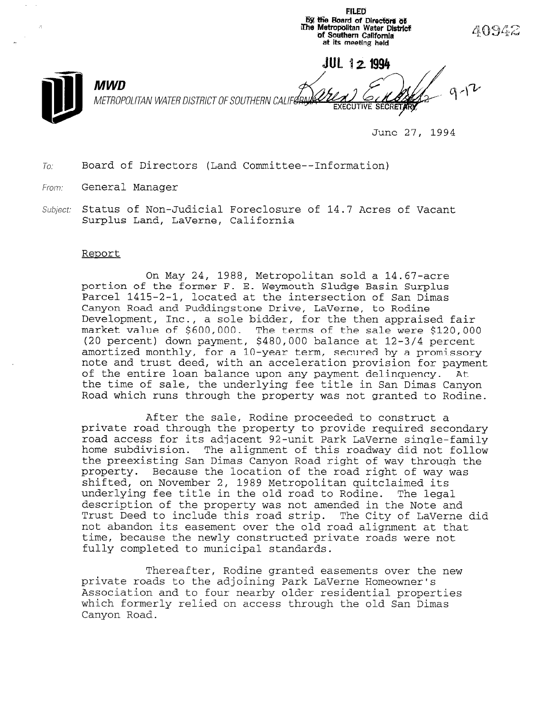by the Board of Directors of iIne Metropolitan Water Distric of Southern California at its meeting held JUL 12 1994 **MWD** METROPOLITAN WATER DISTRICT OF SOUTHERN CALIFE

June 27, 1994

FILED

 $To:$ Board of Directors (Land Committee--Information)

- From: General Manager
- Subject: Status of Non-Judicial Foreclosure of 14.7 Acres of Vacar Surplus Land, LaVerne, California

## Reoort

On May 24, 1988, Metropolitan sold a 14.67-acre portion of the former F. E. Weymouth Sludge Basin Surplus Parcel 1415-2-1, located at the intersection of San Dimas Canyon Road and Puddingstone Drive, LaVerne, to Rodine Development, Inc., a sole bidder, for the then appraised fair market value of \$600,000. The terms of the sale were \$120,000 (20 percent) down payment, \$480,000 balance at 12-3/4 percent amortized monthly, for a 10-year term, secured by a promissory note and trust deed, with an acceleration provision for payment of the entire loan balance upon any payment delinquency. At the time of sale, the underlying fee title in San Dimas Canyon Road which runs through the property was not granted to Rodine.

After the sale, Rodine proceeded to construct a private road through the property to provide required secondary road access for its adjacent 92-unit Park LaVerne single-family home subdivision. The alignment of this roadway did not follow the preexisting San Dimas Canyon Road right of way through the property. Because the location of the road right of way was shifted, on November 2, 1989 Metropolitan quitclaimed its underlying fee title in the old road to Rodine. The legal description of the property was not amended in the Note and Trust Deed to include this road strip. The City of LaVerne did Trust Deed to include this road strip. The City of LaVerne did<br>not abandon its easement over the old road alignment at that time, because the newly constructed private roads were not fully completed to municipal standards.

Thereafter, Rodine granted easements over the new private roads to the adjoining private resements over the control of the control of the control of the control o private roads to the adjoining rain have he homeowner s Association and to four nearby older residential properties<br>which formerly relied on access through the old San Dimas Canyon Road.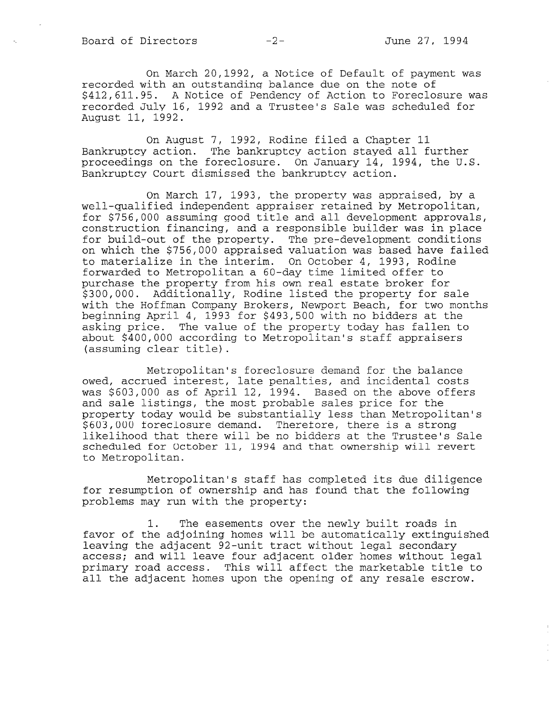On March 20,1992, a Notice of Default of payment was recorded with an outstanding balance due on the note of \$412,611.95. A Notice of Pendency of Action to Foreclosure was recorded July 16, 1992 and a Trustee's Sale was scheduled for August 11, 1992.

On August 7, 1992, Rodine filed a Chapter 11 Bankruptcy action. The bankruptcy action stayed all further proceedings on the foreclosure. On January 14, 1994, the U.S. Bankruptcy Court dismissed the bankruptcy action.

On March 17, 1993, the property was appraised, by a well-qualified independent appraiser retained by Metropolitan, for \$756,000 assuming good title and all development approvals, construction financing, and a responsible builder was in place for build-out of the property. The pre-development conditions on which the \$756,000 appraised valuation was based have failed to materialize in the interim. On October 4, 1993, Rodine forwarded to Metropolitan a 60-day time limited offer to purchase the property from his own real estate broker for \$300,000. Additionally, Rodine listed the property for sale with the Hoffman Company Brokers, Newport Beach, for two months beginning April 4, 1993 for \$493,500 with no bidders at the asking price. The value of the property today has fallen to about \$400,000 according to Metropolitan's staff apprais (assuming clear title).

Metropolitan's foreclosure demand for the balance owed, accrued interest, late penalties, and incidental costs was \$603,000 as of April 12, 1994. Based on the above offers and sale listings, the most probable sales price for the property today would be substantially less than Metropolitan's \$603,000 foreclosure demand. Therefore, there is a strong likelihood that there will be no bidders at the Trustee's Sale scheduled for October 11, 1994 and that ownership will revert to Metropolitan.

Metropolitan's staff has completed its due diligence for resumption of ownership and has found that the following problems may run with the property:

1. The easements over the newly built roads in favor of the adjoining homes will be automatically extinguished leaving the adjacent 92-unit tract without legal secondary access; and will leave four adjacent older homes without legal primary road access. This will affect the marketable title to all the adjacent homes upon the opening of any resale escrow.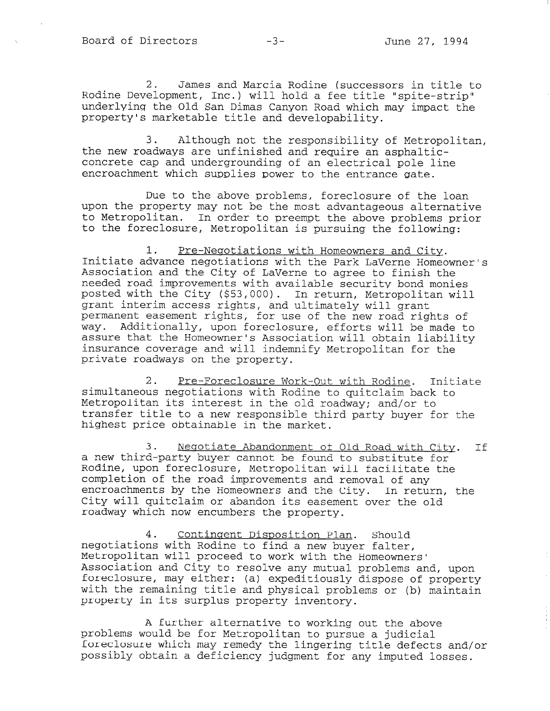2. James and Marcia Rodine (successors in title to Rodine Development, Inc.) will hold a fee title "spite-strip" underlying the Old San Dimas Canyon Road which may impact the property's marketable title and developability.

3. Although not the responsibility of Metropolitan, the new roadways are unfinished and require an asphalticconcrete cap and undergrounding of an electrical pole line encroachment which supplies power to the entrance gate.

Due to the above problems, foreclosure of the loan upon the property may not be the most advantageous alternative to Metropolitan. In order to preempt the above problems prior to the foreclosure, Metropolitan is pursuing the following:

1. Pre-Negotiations with Homeowners and City. Initiate advance negotiations with the Park LaVerne Homeowner's Association and the City of LaVerne to agree to finish the needed road improvements with available security bond monies posted with the City (\$53,000). In return, Metropolitan will grant interim access rights, and ultimately will grant permanent easement rights, for use of the new road rights of way. Additionally, upon foreclosure, efforts will be made to assure that the Homeowner's Association will obtain liability insurance coverage and will indemnify Metropolitan for the private roadways on the property.

2. Pre-Foreclosure Work-Out with Rodine. Initiate simultaneous negotiations with Rodine to quitclaim back to Metropolitan its interest in the old roadway; and/or to transfer title to a new responsible third party buyer for the highest price obtainable in the market.

3. Negotiate Abandonment of Old Road with City. If a new third-party buyer cannot be found to substitute for Rodine, upon foreclosure, Metropolitan will facilitate the completion of the road improvements and removal of any encroachments by the Homeowners and the City. In return, the City will guite by the noncomplex and the CIty. In Ieculi roadway which now encumbers the property.

4. Contingent Disposition Plan. Should negotiations with Rodine to find a new buyer find a new buyer fall. megociacions with Rodine to lind a new buyer faiter, Metropolitan will proceed to work with the Homeowners'<br>Association and City to resolve any mutual problems and, upon foreclosure, may either: (a) expeditiously dispose of property with the remaining title  $\alpha$  and  $\alpha$  expections  $\alpha$  are problems of  $\alpha$  problems of  $\alpha$ with the remaining title and physical problems or (b) maintain property in its surplus property inventory.

 $\overline{A}$  further alternative to working out the above to working out the above to working out the above the above the above the above the above the above the above the above the above the above the above the above the abo problems would be for Metropolitan to pursue a judicial to pursue a judicial to pursue a judicial to pursue a j problems would be for Metropolitan to pursue a judicial foreclosure which may remedy the lingering title defects and/or possibly obtain a deficiency judgment for any imputed losses.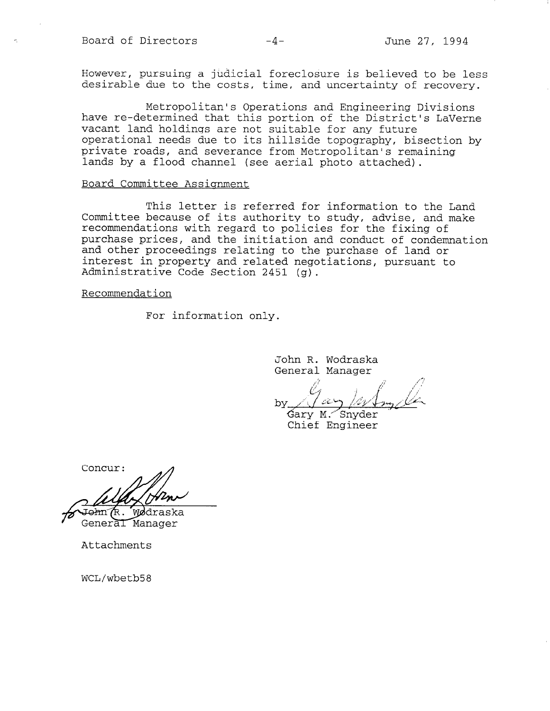However, pursuing a judicial foreclosure is believed to be less desirable due to the costs, time, and uncertainty of recovery.

Metropolitan's Operations and Engineering Divisions have re-determined that this portion of the District's LaVerr vacant land holdings are not suitable for any futu operational needs due to its hillside topography, bisection by private roads, and severance from Metropolitan's remaining lands by a flood channel (see aerial photo attached).

## Board Committee Assisnment

This letter is referred for information to the Land Committee because of its authority to study, advise, and make recommendations with regard to policies for the fixing of purchase prices, and the initiation and conduct of condemnation and other proceedings relating to the purchase of land or interest in property and related negotiations, pursuant to Administrative Code Section 2451 (g).

Recommendation

For information only.

John R. Wodraska General Manager

 $b$ v

Gary M. Snyder<br>Chief Engineer

Concur:

Æ. Wødraska łπ General Manager

Attachments

WCL/wbetb58